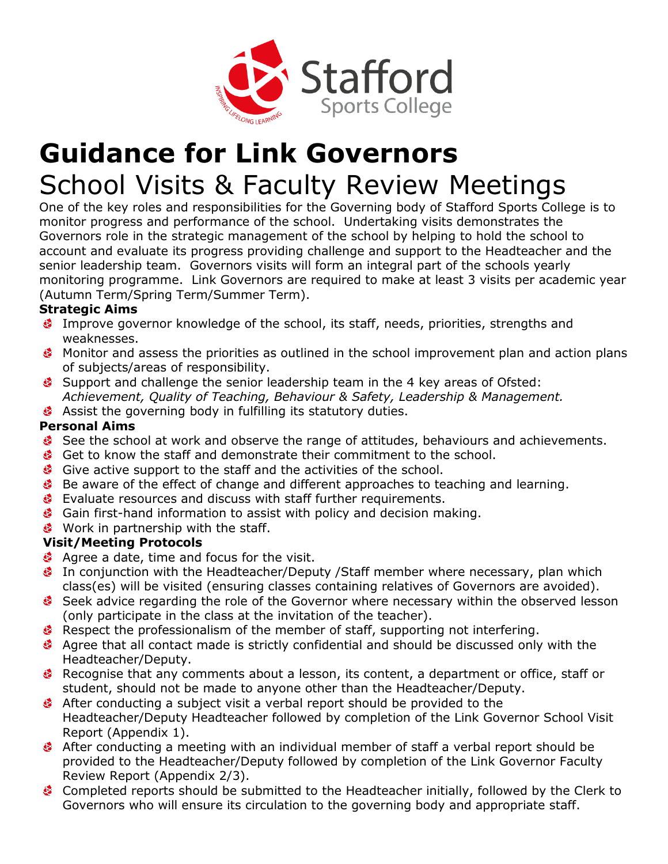

## **Guidance for Link Governors** School Visits & Faculty Review Meetings

One of the key roles and responsibilities for the Governing body of Stafford Sports College is to monitor progress and performance of the school. Undertaking visits demonstrates the Governors role in the strategic management of the school by helping to hold the school to account and evaluate its progress providing challenge and support to the Headteacher and the senior leadership team. Governors visits will form an integral part of the schools yearly monitoring programme. Link Governors are required to make at least 3 visits per academic year (Autumn Term/Spring Term/Summer Term).

### **Strategic Aims**

- Improve governor knowledge of the school, its staff, needs, priorities, strengths and weaknesses.
- Monitor and assess the priorities as outlined in the school improvement plan and action plans of subjects/areas of responsibility.
- Support and challenge the senior leadership team in the 4 key areas of Ofsted: *Achievement, Quality of Teaching, Behaviour & Safety, Leadership & Management.*
- Assist the governing body in fulfilling its statutory duties.

#### **Personal Aims**

- See the school at work and observe the range of attitudes, behaviours and achievements.
- Get to know the staff and demonstrate their commitment to the school.
- Give active support to the staff and the activities of the school.
- Be aware of the effect of change and different approaches to teaching and learning.
- Evaluate resources and discuss with staff further requirements.
- Gain first-hand information to assist with policy and decision making.
- **Work in partnership with the staff.**

#### **Visit/Meeting Protocols**

- Agree a date, time and focus for the visit.
- In conjunction with the Headteacher/Deputy /Staff member where necessary, plan which class(es) will be visited (ensuring classes containing relatives of Governors are avoided).
- Seek advice regarding the role of the Governor where necessary within the observed lesson (only participate in the class at the invitation of the teacher).
- Respect the professionalism of the member of staff, supporting not interfering.
- Agree that all contact made is strictly confidential and should be discussed only with the Headteacher/Deputy.
- Recognise that any comments about a lesson, its content, a department or office, staff or student, should not be made to anyone other than the Headteacher/Deputy.
- After conducting a subject visit a verbal report should be provided to the Headteacher/Deputy Headteacher followed by completion of the Link Governor School Visit Report (Appendix 1).
- After conducting a meeting with an individual member of staff a verbal report should be provided to the Headteacher/Deputy followed by completion of the Link Governor Faculty Review Report (Appendix 2/3).
- Completed reports should be submitted to the Headteacher initially, followed by the Clerk to Governors who will ensure its circulation to the governing body and appropriate staff.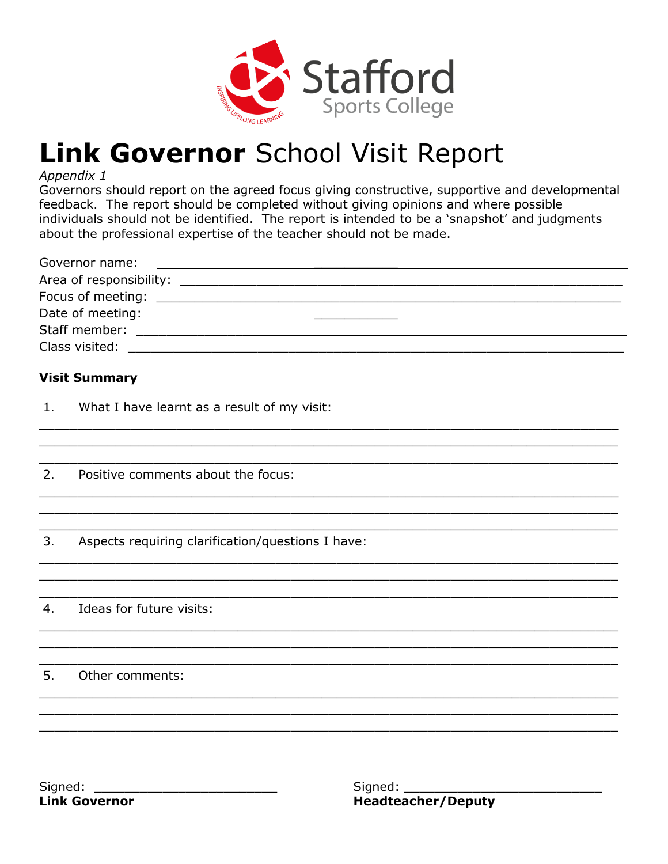

# Link Governor School Visit Report

#### Appendix 1

Governors should report on the agreed focus giving constructive, supportive and developmental feedback. The report should be completed without giving opinions and where possible individuals should not be identified. The report is intended to be a 'snapshot' and judgments about the professional expertise of the teacher should not be made.

| Governor name:    | 1000 - 1000 - 1000 - 1000 - 1000 - 1000 - 1000 - 1000 - 1000 - 1000 - 1000 - 1000 - 1000 - 1000 - 1000 - 1000<br>2000 - 1000 - 1000 - 1000 - 1000 - 1000 - 1000 - 1000 - 1000 - 1000 - 1000 - 1000 - 1000 - 1000 - 1000 - 1000 |  |
|-------------------|--------------------------------------------------------------------------------------------------------------------------------------------------------------------------------------------------------------------------------|--|
|                   | Area of responsibility: Area of responsibility:                                                                                                                                                                                |  |
| Focus of meeting: | <u> 1989 - Johann Stein, fransk politik (d. 1989)</u>                                                                                                                                                                          |  |
| Date of meeting:  |                                                                                                                                                                                                                                |  |
|                   | Staff member: The contract of the contract of the contract of the contract of the contract of the contract of the contract of the contract of the contract of the contract of the contract of the contract of the contract of  |  |
| Class visited:    |                                                                                                                                                                                                                                |  |

#### **Visit Summary**

- $1.$ What I have learnt as a result of my visit:
- $2.$ Positive comments about the focus:
- $3.$ Aspects requiring clarification/questions I have:
- $4.$ Ideas for future visits:

5. Other comments: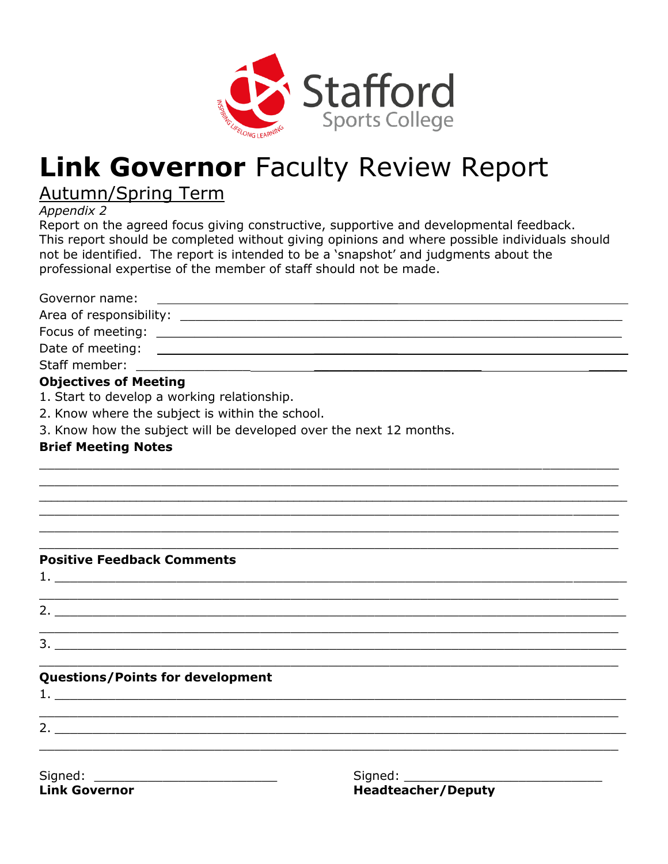

## **Link Governor Faculty Review Report**

Autumn/Spring Term

*Appendix 2*

Report on the agreed focus giving constructive, supportive and developmental feedback. This report should be completed without giving opinions and where possible individuals should not be identified. The report is intended to be a 'snapshot' and judgments about the professional expertise of the member of staff should not be made.

Governor name: Area of responsibility: \_\_\_\_\_\_\_\_\_\_\_\_\_\_\_\_\_\_\_\_\_\_\_\_\_\_\_\_\_\_\_\_\_\_\_\_\_\_\_\_\_\_\_\_\_\_\_\_\_\_\_\_\_\_\_\_\_\_ Focus of meeting: \_\_\_\_\_\_\_\_\_\_\_\_\_\_\_\_\_\_\_\_\_\_\_\_\_\_\_\_\_\_\_\_\_\_\_\_\_\_\_\_\_\_\_\_\_\_\_\_\_\_\_\_\_\_\_\_\_\_\_\_\_ Date of meeting: \_\_\_\_\_\_\_\_\_\_\_ Staff member: **Objectives of Meeting** 1. Start to develop a working relationship. 2. Know where the subject is within the school. 3. Know how the subject will be developed over the next 12 months. **Brief Meeting Notes**

\_\_\_\_\_\_\_\_\_\_\_\_\_\_\_\_\_\_\_\_\_\_\_\_\_\_\_\_\_\_\_\_\_\_\_\_\_\_\_\_\_\_\_\_\_\_\_\_\_\_\_\_\_\_\_\_\_\_\_\_\_\_\_\_\_\_\_\_\_\_\_\_\_\_\_\_ \_\_\_\_\_\_\_\_\_\_\_\_\_\_\_\_\_\_\_\_\_\_\_\_\_\_\_\_\_\_\_\_\_\_\_\_\_\_\_\_\_\_\_\_\_\_\_\_\_\_\_\_\_\_\_\_\_\_\_\_\_\_\_\_\_\_\_\_\_\_\_\_\_\_\_\_ \_\_\_\_\_\_\_\_\_\_\_\_\_\_\_\_\_\_\_\_\_\_\_\_\_\_\_\_\_\_\_\_\_\_\_\_\_\_\_\_\_\_\_\_\_\_\_\_\_\_\_\_\_\_\_\_\_\_\_\_\_\_\_\_\_\_\_\_\_\_\_\_\_\_\_\_\_\_\_\_\_\_\_\_\_\_\_\_\_\_\_\_\_\_\_\_\_  $\mathcal{L}_\text{max}$  , and the contribution of the contribution of the contribution of the contribution of the contribution of the contribution of the contribution of the contribution of the contribution of the contribution of t  $\mathcal{L}_\mathcal{L} = \{ \mathcal{L}_\mathcal{L} = \{ \mathcal{L}_\mathcal{L} = \{ \mathcal{L}_\mathcal{L} = \{ \mathcal{L}_\mathcal{L} = \{ \mathcal{L}_\mathcal{L} = \{ \mathcal{L}_\mathcal{L} = \{ \mathcal{L}_\mathcal{L} = \{ \mathcal{L}_\mathcal{L} = \{ \mathcal{L}_\mathcal{L} = \{ \mathcal{L}_\mathcal{L} = \{ \mathcal{L}_\mathcal{L} = \{ \mathcal{L}_\mathcal{L} = \{ \mathcal{L}_\mathcal{L} = \{ \mathcal{L}_\mathcal{$  $\mathcal{L}_\mathcal{L} = \{ \mathcal{L}_\mathcal{L} = \{ \mathcal{L}_\mathcal{L} = \{ \mathcal{L}_\mathcal{L} = \{ \mathcal{L}_\mathcal{L} = \{ \mathcal{L}_\mathcal{L} = \{ \mathcal{L}_\mathcal{L} = \{ \mathcal{L}_\mathcal{L} = \{ \mathcal{L}_\mathcal{L} = \{ \mathcal{L}_\mathcal{L} = \{ \mathcal{L}_\mathcal{L} = \{ \mathcal{L}_\mathcal{L} = \{ \mathcal{L}_\mathcal{L} = \{ \mathcal{L}_\mathcal{L} = \{ \mathcal{L}_\mathcal{$ 

 $\mathcal{L}_\mathcal{L} = \{ \mathcal{L}_\mathcal{L} = \{ \mathcal{L}_\mathcal{L} = \{ \mathcal{L}_\mathcal{L} = \{ \mathcal{L}_\mathcal{L} = \{ \mathcal{L}_\mathcal{L} = \{ \mathcal{L}_\mathcal{L} = \{ \mathcal{L}_\mathcal{L} = \{ \mathcal{L}_\mathcal{L} = \{ \mathcal{L}_\mathcal{L} = \{ \mathcal{L}_\mathcal{L} = \{ \mathcal{L}_\mathcal{L} = \{ \mathcal{L}_\mathcal{L} = \{ \mathcal{L}_\mathcal{L} = \{ \mathcal{L}_\mathcal{$ 

 $\mathcal{L}_\mathcal{L} = \{ \mathcal{L}_\mathcal{L} = \{ \mathcal{L}_\mathcal{L} = \{ \mathcal{L}_\mathcal{L} = \{ \mathcal{L}_\mathcal{L} = \{ \mathcal{L}_\mathcal{L} = \{ \mathcal{L}_\mathcal{L} = \{ \mathcal{L}_\mathcal{L} = \{ \mathcal{L}_\mathcal{L} = \{ \mathcal{L}_\mathcal{L} = \{ \mathcal{L}_\mathcal{L} = \{ \mathcal{L}_\mathcal{L} = \{ \mathcal{L}_\mathcal{L} = \{ \mathcal{L}_\mathcal{L} = \{ \mathcal{L}_\mathcal{$ 

 $\mathcal{L}_\text{max}$  , and the contribution of the contribution of the contribution of the contribution of the contribution of the contribution of the contribution of the contribution of the contribution of the contribution of t

 $\mathcal{L}_\mathcal{L} = \{ \mathcal{L}_\mathcal{L} = \{ \mathcal{L}_\mathcal{L} = \{ \mathcal{L}_\mathcal{L} = \{ \mathcal{L}_\mathcal{L} = \{ \mathcal{L}_\mathcal{L} = \{ \mathcal{L}_\mathcal{L} = \{ \mathcal{L}_\mathcal{L} = \{ \mathcal{L}_\mathcal{L} = \{ \mathcal{L}_\mathcal{L} = \{ \mathcal{L}_\mathcal{L} = \{ \mathcal{L}_\mathcal{L} = \{ \mathcal{L}_\mathcal{L} = \{ \mathcal{L}_\mathcal{L} = \{ \mathcal{L}_\mathcal{$ 

#### **Positive Feedback Comments**

1. \_\_\_\_\_\_\_\_\_\_\_\_\_\_\_\_\_\_\_\_\_\_\_\_\_\_\_\_\_\_\_\_\_\_\_\_\_\_\_\_\_\_\_\_\_\_\_\_\_\_\_\_\_\_\_\_\_\_\_\_\_\_\_\_\_\_\_\_\_\_\_\_\_\_\_

 $\mathcal{L}_\mathcal{L} = \{ \mathcal{L}_\mathcal{L} = \{ \mathcal{L}_\mathcal{L} = \{ \mathcal{L}_\mathcal{L} = \{ \mathcal{L}_\mathcal{L} = \{ \mathcal{L}_\mathcal{L} = \{ \mathcal{L}_\mathcal{L} = \{ \mathcal{L}_\mathcal{L} = \{ \mathcal{L}_\mathcal{L} = \{ \mathcal{L}_\mathcal{L} = \{ \mathcal{L}_\mathcal{L} = \{ \mathcal{L}_\mathcal{L} = \{ \mathcal{L}_\mathcal{L} = \{ \mathcal{L}_\mathcal{L} = \{ \mathcal{L}_\mathcal{$ 

 $3.$ 

### **Questions/Points for development**

 $2.$ 

2. \_\_\_\_\_\_\_\_\_\_\_\_\_\_\_\_\_\_\_\_\_\_\_\_\_\_\_\_\_\_\_\_\_\_\_\_\_\_\_\_\_\_\_\_\_\_\_\_\_\_\_\_\_\_\_\_\_\_\_\_\_\_\_\_\_\_\_\_\_\_\_\_\_\_\_

1. \_\_\_\_\_\_\_\_\_\_\_\_\_\_\_\_\_\_\_\_\_\_\_\_\_\_\_\_\_\_\_\_\_\_\_\_\_\_\_\_\_\_\_\_\_\_\_\_\_\_\_\_\_\_\_\_\_\_\_\_\_\_\_\_\_\_\_\_\_\_\_\_\_\_\_

Signed: \_\_\_\_\_\_\_\_\_\_\_\_\_\_\_\_\_\_\_\_\_\_\_\_ Signed: \_\_\_\_\_\_\_\_\_\_\_\_\_\_\_\_\_\_\_\_\_\_\_\_\_\_ **Link Governor Headteacher/Deputy**